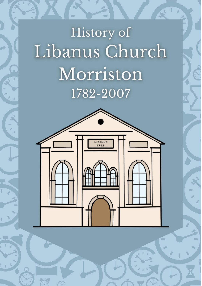# History of Libanus Church Morriston 1782-2007

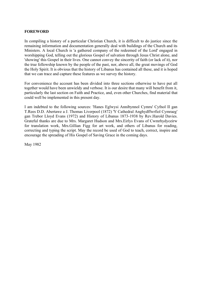#### **FOREWORD**

In compiling a history of a particular Christian Church, it is difficult to do justice since the remaining information and documentation generally deal with buildings of the Church and its Ministers. A local Church is 'a gathered company of the redeemed of the Lord' engaged in worshipping God, telling out the glorious Gospel of salvation through Jesus Christ alone, and 'showing' this Gospel in their lives. One cannot convey the sincerity of faith (or lack of it), nor the true fellowship known by the people of the past, nor, above all, the great movings of God the Holy Spirit. It is obvious that the history of Libanus has contained all these, and it is hoped that we can trace and capture these features as we survey the history.

For convenience the account has been divided into three sections otherwise to have put all together would have been unwieldy and verbose. It is our desire that many will benefit from it, particularly the last section on Faith and Practice, and, even other Churches, find material that could well be implemented in this present day.

I am indebted to the following sources: 'Hanes Eglwysi Annibynnol Cymru' Cyfnol II gan T.Rees D.D. Abertawe a J. Thomas Liverpool (1872) 'Y Cathedral Anghydffwrfiol Cymraeg' gan Trebor Lloyd Evans (1972) and History of Libanus 1873-1938 by Rev.Harold Davies. Grateful thanks are due to Mrs. Margaret Hudson and Mrs.Eirlys Evans of Cwmrhydyceirw for translation work, Mrs.Gillian Figg for art work, and others of Libanus for reading, correcting and typing the script. May the record be used of God to teach, correct, inspire and encourage the spreading of His Gospel of Saving Grace in the coming days.

May 1982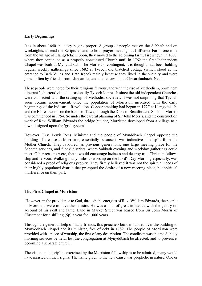#### **Early Beginnings**

It is in about 1640 the story begins proper. A group of people met on the Sabbath and on weeknights, to read the Scriptures and to hold prayer meetings at Cilfwnwr Farm, one mile from the village of Llangyfelach. Soon, they moved to the adjoining farm, Tirdwncyn, in 1660, where they continued as a properly constituted Church until in 1762 the first Independent Chapel was built at Mynyddbach. The Morriston contingent, it is thought, had been holding regular weekly gatherings since 1682 at Tycoch old thatched cottage (which stood at the entrance to Bath Villas and Bath Road) mainly because they lived in the vicinity and were joined often by friends from Llansamlet, and the fellowship at Chwarelaubach, Neath.

These people were noted for their religious fervour, and with the rise of Methodism, prominent itinerant 'exhorters' visited occasionally Tycoch lo preach since the old independent Churches were connected with the setting up of Methodist societies. It was not surprising that Tycoch soon became inconvenient, once the population of Morriston increased with the early beginnings of the Industrial Revolution. Copper smelting had begun in 1727 at Llangyfelach, and the Fforest works on the banks of Tawe, through the Duke of Beaufort and Sir John Morris, was commenced in 1754. So under the careful planning of Sir John Morris, and the construction work of Rev. William Edwards the bridge builder, Morriston developed from a village to a town designed upon the 'grid system'.

However, Rev. Lewis Rees, Minister and the people of Mynddbach Chapel opposed the building of a cause at Morriston, essentially because it was indicative of a 'split' from the Mother Church. They favoured, as previous generations, one large meeting place for the Sabbath services, and 5 or 6 districts, where Sabbath evening and weekday gatherings could meet. Other reasons were, that it would encourage laziness and destroy true Christian fellowship and fervour. Walking many miles to worship on the Lord's Day Morning especially, was considered a proof of religious probity. They firmly believed it was not the spiritual needs of their highly populated district that prompted the desire of a new meeting place, but spiritual indifference on their part.

# **The First Chapel at Morriston**

However, in the providence to God, through the energies of Rev. William Edwards, the people of Morriston were to have their desire. He was a man of great influence with the gentry on account of his skill and fame. Land in Market Street was leased from Sir John Morris of Clasemont for a shilling (5p) a year for 1,000 years.

Through the generous help of many friends, this preacher/ builder handed over the building to Mynyddbach Chapel and its minister, free of debt in 1782. The people of Morriston were provided with a place of worship, the first of any description. The condition was that no Sunday morning services be held, lest the congregation at Mynyddbach be affected, and to prevent it becoming a separate church.

The vision and discipline exercised by the Morriston fellowship is to be admired, many would have insisted on their rights. The name given to the new cause was prophetic in nature. One or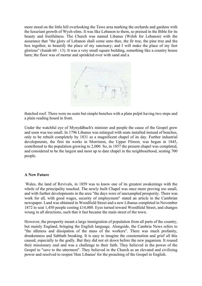more stood on the little hill overlooking the Tawe area marking the orchards and gardens with the luxuriant growth of Wych-elms. It was like Lebanon to them, so praised in the Bible for its beauty and fruitfulness. The Church was named Libanus (Welsh for Lebanon) with the assurance that "the glory of Lebanon shall come unto thee, the fir tree, the pine tree and the box together, to beautify the place of my sanctuary; and I will make the place of my feet glorious" (Isaiah 60 : 13). It was a very small square building, something like a country house barn; the floor was of mortar and sprinkled over with sand and a



thatched roof. There were no seats but simple benches with a plain pulpit having two steps and a plain reading board in front.

Under the watchful eye of Mynyddbach's minister and people the cause of the Gospel grew and soon was too small. In 1796 Libanus was enlarged with seats installed instead of benches, only to be rebuilt completely by 1831 as a magnificent chapel of its day. Further industrial developments, the first tin works in Morriston, the Upper Fforest, was begun in 1845, contributed to the population growing to 2,000. So, in 1857 the present chapel was completed, and considered to be the largest and most up to date chapel in the neighbourhood, seating 700 people.

#### **A New Future**

Wales, the land of Revivals, in 1859 was to know one of its greatest awakenings with the whole of the principality touched. The newly built Chapel was once more proving too small, and with further developments in the area "the days were of unexampled prosperity. There was work for all, with good wages, security of employment" stated an article in the Cambrian newspaper. Land was obtained in Woodfield Street and a new Libanus completed in November 1872 to seat 1,450 people costing £14,000. Eyes turned toward Woodfield Street, and changes wrung in all directions, such that it fast became the main street of the town.

However, the prosperity meant a large immigration of population from all parts of the country, but mainly England, bringing the English language. Alongside, the Cambria News refers to "the idleness and dissipation of the mass of the workers". There was much profanity, drunkenness and Sabbath breaking. It is easy to imagine the consternation and grief all this caused, especially to the godly. But they did not sit down before the new paganism. It roused their missionary zeal and was a challenge to their faith. They believed in the power of the Gospel to "save to the uttermost". They believed in the Church as an elevated and civilizing power and resolved to reopen 'Hen Libanus' for the preaching of the Gospel in English.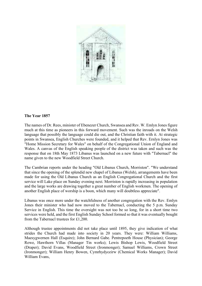

#### **The Year 1857**

The names of Dr. Rees, minister of Ebenezer Church, Swansea and Rev. W. Emlyn Jones figure much at this time as pioneers in this forward movement. Such was the inroads on the Welsh language that possibly the language could die out, and the Christian faith with it. At strategic points in Swansea, English Churches were founded, and it helped that Rev. Ernlyn Jones was "Home Mission Secretary for Wales" on behalf of the Congregational Union of England and Wales. A canvas of the English speaking people of the district was taken and such was the response that on 18th May 1873 Libanus was launched on a new future with "Tabernacl" the name given to the new Woodfield Street Church.

The Cambrian reports under the heading "Old Libanus Church, Morriston". "We understand that since the opening of the splendid new chapel of Libanus (Welsh), arrangements have been made for using the Old Libanus Church as an English Congregational Church and the first service will Lake place on Sunday evening next. Morriston is rapidly increasing in population and the large works are drawing together a great number of English workmen. The opening of another English place of worship is a boon, which many will doubtless appreciate".

Libanus was once more under the watchfulness of another congregation with the Rev. Emlyn Jones their minister who had now moved to the Tabernacl, conducting the 5 p.m. Sunday Service in English. This time the oversight was not too be so long, for in a short time two services were held, and the first English Sunday School formed so that it was eventually bought from the Tabernacl trustees for £1,200.

Although trustee appointments did not take place until 1895, they give indication of what strides the Church had made into society in 20 years. They were: William Williams, Maesygwernen Hall (Esquire); John Bernard Gabe. Pentrepoeth House (Physician); George Rowe, Hawthorn Villas (Manager Tin works); Lewis Bishop Lewis, Woodfield Street (Draper); David Evans, Woodfield Street (Ironmonger); Samuel Williams, Crown Street (Ironmonger); William Henry Bowen, Cymrhydyceirw (Chemical Works Manager); David William Evans,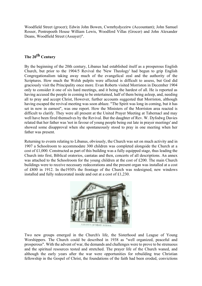Woodfield Street (grocer); Edwin John Bowen, Cwmrhydyceirw (Accountant); John Samuel Rosser, Pentrepoeth House William Lewis, Woodford Villas (Grocer) and John Alexander Deans, Woodfield Street (Assayer)".

# **The 20th Century**

By the beginning of the 20th century, Libanus had established itself as a prosperous English Church, but prior to the 1904/5 Revival the 'New Theology' had begun to grip English Congregationalism taking away much of the evangelical zeal and the authority of the Scriptures. How much the Welsh pulpits were affected is difficult to assess, but God did graciously visit the Principality once more. Evan Roberts visited Morriston in December 1904 only to consider it one of six hard meetings, and it being the hardest of all. He is reported as having accused the people in coming to be entertained, half of them being asleep, and, needing all to pray and accept Christ, However, further accounts suggested that Morriston, although having escaped the revival meeting was soon ablaze. "The Spirit was long in coming, but it has set in now in earnest", was one report. How the Ministers of the Morriston area reacted is difficult to clarify. They were all present at the United Prayer Meeting at Tabernacl and may well have been fired themselves by the Revival. But the daughter of Rev. W. Dyfodwg Davies related that her father was 'not in favour of young people being out late in prayer meetings' and showed some disapproval when she spontaneously stood to pray in one meeting when her father was present.

Returning to events relating to Libanus, obviously, the Church was set on much activity and in 1907 a Schoolroom to accommodate 300 children was completed alongside the Church at a cost of £1,000. Constructed as part of this building was a fully equipped stage, thus leading the Church into first, Biblical oratorios, cantatas and then, concerts of all descriptions. An annex was attached to the Schoolroom for the young children at the cost of £200. The main Church buildings were to receive necessary redecorations and the present organ was installed at a cost of £800 in 1912. In the1930's the frontage of the Church was redesigned, new windows installed and fully redecorated inside and out at a cost of £1,230.



S SUNDAY SUROOL

Two new groups emerged in the Church's life, the Sisterhood and League of Young Worshippers. The Church could be described in 1938 as "well organized, peaceful and prosperous". With the advent of war, the demands and challenges were to prove to be strenuous and the spiritual resources tested and stretched. The prayer life of the Church waned, and although the early years after the war were opportunities for rebuilding true Christian fellowship in the Gospel of Christ, the foundations of the faith had been eroded, convictions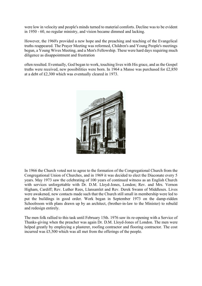were low in velocity and people's minds turned to material comforts. Decline was to be evident in 1950 - 60, no regular ministry, and vision became dimmed and lacking.

However, the 1960's provided a new hope and the preaching and teaching of the Evangelical truths reappeared. The Prayer Meeting was reformed, Children's and Young People's meetings begun, a Young Wives Meeting, and a Men's Fellowship. These were hard days requiring much diligence as disappointment and frustration

often resulted. Eventually, God began to work, touching lives with His grace, and as the Gospel truths were received, new possibilities were born. In 1964 a Manse was purchased for £2,850 at a debt of £2,300 which was eventually cleared in 1973.



In 1966 the Church voted not to agree to the formation of the Congregational Church from the Congregational Union of Churches, and in 1969 it was decided to elect the Diaconate every 5 years. May 1973 saw the celebrating of 100 years of continued witness as an English Church with services unforgettable with Dr. D.M. Lloyd-Jones, London; Rev. and Mrs. Vernon Higham, Cardiff; Rev. Luther Rees, Llansamlet and Rev. Derek Swann of Middlesex. Lives were awakened, new contacts made such that the Church still small in membership were led to put the buildings in good order. Work began in September 1973 on the damp-ridden Schoolroom with plans drawn up by an architect, (brother-in-law to the Minister) to rebuild and redesign entirely.

The men folk rallied to this task until February 15th. 1976 saw its re-opening with a Service of Thanks-giving when the preacher was again Dr. D.M. Lloyd-Jones of London. The men were helped greatly by employing a plasterer, roofing contractor and flooring contractor. The cost incurred was £5,500 which was all met from the offerings of the people.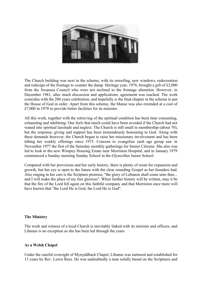

The Church building was next in the scheme, with its reroofing, new windows, redecoration and redesign of the frontage to counter the damp. Heritage year, 1976, brought a gift of £2,000 from the Swansea Council who were not inclined to the frontage alteration. However, in December 1981, after much discussion and applications, agreement was reached. The work coincides with the 200 years celebration, and hopefully is the final chapter in the scheme to put the House of God in order. Apart from this scheme, the Manse was also extended at a cost of £7,000 in 1978 to provide better facilities for its minister.

All this work, together with the retrieving of the spiritual condition has been time consuming, exhausting and inhibiting. One feels that much could have been avoided if the Church had not waned into spiritual lassitude and neglect. The Church is still small in membership (about 70), but the response, giving and support has been tremendously honouring to God. Along with these demands however, the Church began to raise her missionary involvement and has been tithing her weekly offerings since 1975. Concern to evangelise each age group saw in November 1977 the first of the Saturday monthly gatherings for Senior Citizens. She also was led to look to the new Wimpey Housing Estate near Morriston Hospital, and in January 1979 commenced a Sunday morning Sunday School in the Glyncollen Junior School.

Compared with her provisions and her early history, there is plenty of room for expansion and growth, but her eye is open to the future with the clear sounding Gospel as her founders had. Also ringing in her cars is the Scripture promise, "the glory of Lebanon shall come unto thee... and I will make the place of my feet glorious". When further history will be written, may it be that the fire of the Lord fell again on this faithful company and that Morriston once more will have known that "the Lord He is God, the Lord He is God".

#### **The Ministry**

The work and witness of a local Church is inevitably linked with its minister and officers, and Libanus is no exception as she has been led through the years.

#### **As a Welsh Chapel**

Under the careful oversight of Mynyddbach Chapel, Libanus was nurtured and established for 13 years by Rev. Lewis Rees. He was undoubtedly a man solidly based on the Scriptures and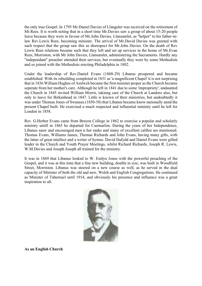the only true Gospel. In 1795 Mr.Daniel Davies of Llangeler was received on the retirement of Mr.Rees. It is worth noting that in a short time Mr.Davies saw a group of about 15-20 people leave because they were in favour of Mr.John Davies, Llansamlet, as "helper" to his father-inlaw Rev.Lewis Rees, becoming minister. The arrival of Mr.David Davies was greeted with such respect that the group saw this as disrespect for Mr.John Davies. On the death of Rev Lewis Rees relations became such that they left and set up services in the home of Mr.Evan Rees, Morriston, with Mr John Davies, Llansamlet, administering the Sacraments. Hardly any "independant" preacher attended their services, but eventually they were by some Methodists and so joined with the Methodists erecting Philadelphia in 1802.

Under the leadership of Rev.DanieI Evans (1808-29) Libanus prospered and became established. With its rebuilding completed in 1831 as 'a magnificent Chapel' it is not surprising that in 1836 William Hughes of Amlwch became the first minister proper as the Church became seperate from her mother's care. Although he left in 1841 due to some 'impropriety', undaunted the Church in 1845 invited William Morris, takinng care of the Church at Landore also, but only to leave for Birkenhead in 1847. Little is known of their ministries, but undoubtedly it was under Thomas Jones of Swansea (1850-58) that Libanus became know nationally annd the present Chapel built. He exercised a much respected and influential ministry until he left for London in 1858.

Rev. G.Herber Evans came from Brecon College in 1862 to exercise a popular and scholarly ministry untill in 1865 he departed for Caernarfon. During the years of her Independence, Libanus saaw and encouraged men n her ranks and many of excellent calibre are mentioned. Thomas Evans, Williams James, Thomas Richards and John Evans, having many gifts, with the latter of great intellect and a writer of hymns. David Dafydd and Daniel Evans were gifted leader in the Church and Youth Prayer Meetings, whilst Richard Richards, Joseph R. Lewis, W.M.Davies and Joseph Joseph all trained for the ministry.

It was in 1869 that Libanus looked to W. Emlyn Jones with the powerful preaching of the Gospel, and it was at this time that a fine new building, double in size, was built in Woodfield Street, Morriston. Libanus was steered on a new course as well, as he served in the dual capacity of Minister of both the old and new, Welsh and English Congregations. He continued as Minister of Tabernacl until 1914, and obviously his presence and influence was a great inspiration to all.



**As an English Church**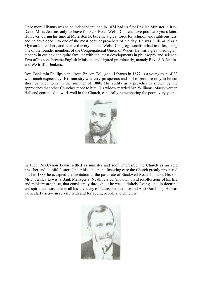Once more Libanus was to be independent, and in 1874 had its first English Minister in Rev. David Miles Jenkins only to leave for Park Road Welsh Church, Liverpool two years later. However, during his time at Morriston he became a great force for religion and righteousness, and he developed into one of the most popular preachers of the day. He was in demand as a 'Gymanfa preacher', and received every honour Welsh Congregationalism had to offer, being one of the founder members of the Congregational Union of Wales. He was a great theologian, modern in outlook and quite familiar with the latest developments in philosophy and science. Two of his sons became English Ministers and figured prominently, namely Rcvs.S.R.Jenkins and W.Griffith Jenkins.

Rev. Benjamin Phillips came from Brecon College to Libanus in 1877 as a young man of 22 with much expectancy. His ministry was very prosperous and full of promise only to be cut short by pneumonia in the summer of 1880. His ability as a preacher is shown by the approaches that other Churches made to him. His widow married Mr. Williams, Maesywernen Hall and continued to work well in the Church, especially remembering the poor every year.



In 1881 Rev.Cynon Lewis settled as minister and soon impressed the Church as an able preacher and faithful Pastor. Under his tender and fostering care the Church greatly prospered until in 1888 he accepted the invitation to the pastorate of Stockwell Road, London. His son Mr.D.Stanley Lewis, a Bank Manager at Neath related "my own vivid recollections of his life and ministry arc these, that consistently throughout he was definitely Evangelical in doctrine and spirit, and was keen in all his advocacy of Peace, Temperance and Anti-Gambling. He was particularly active in service with and for young people and children".

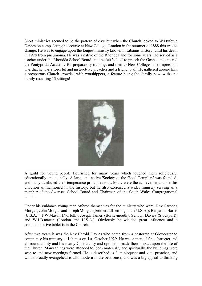Short ministries seemed to be the pattern of day, but when the Church looked to W.Dyfowg Davies on comp- leting his course at New College, London in the summer of 1888 this was to change. He was to engage upon the longest ministry known in Libanus' history, until his death in 1928 from pneumonia. He was a native of the Rhondda and for some years had served as a teacher under the Rhondda School Board until he felt 'called' to preach the Gospel and entered the Pontypridd Academy for preparatory training, and then to New College. The impression was that he was a forceful and instruct-ive preacher and a friend to all. He gathered around him a prosperous Church crowded with worshippers, a feature being the 'family pew' with one family requiring 13 sittings!



A guild for young people flourished for many years which touched them religiously, educationally and socially. A large and active 'Society of the Good Templars' was founded, and many attributed their temperance principles to it. Many were the achievements under his direction as mentioned in the history, but he also exercised a wider ministry serving as a member of the Swansea School Board and Chairman of the South Wales Congregational Union.

Under his guidance young men offered themselves for the ministry who were: Rev.Caradog Morgan, John Morgan and Joseph Morgan (brothers all settling in the U.S.A.); Benjamin Harris (U.S.A.); T.W.Mason (Norfolk); Joseph James (Borne-mouth); Selwyn Davies (Stockport); and W.J.B.martin (London and U.S.A.). Obviously he wielded great influence and a commemorative tablet is in the Church.

After two years it was the Rev.Harold Davies who came from a pastorate at Gloucester to commence his ministry at Libanus on 1st. October 1929. He was a man of fine character and all-round ability and his manly Christianity and optimism made their impact upon the life of the Church. Many things were attended to, both materially and spiritually, the buildings were seen to and new meetings formed. He is described as " an eloquent and vital preacher, and whilst broadly evangelical is also modern in the best sense, and was a big appeal to thinking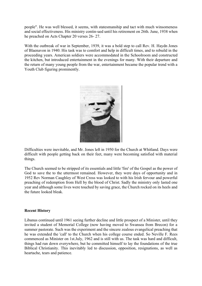people". He was well blessed, it seems, with statesmanship and tact with much winsomeness and social effectiveness. His ministry contin-ued until his retirement on 26th. June, 1938 when he preached on Acts Chapter 20 verses 26- 27.

With the outbreak of war in September, 1939, it was a bold step to call Rev. H. Haydn Jones of Blaenavon in 1940. His task was to comfort and help in difficult times, and to rebuild in the proceeding years. American soldiers were accommodated in the Schoolroom and constructed the kitchen, but introduced entertainment in the evenings for many. With their departure and the return of many young people from the war, entertainment became the popular trend with a Youth Club figuring prominently.



Difficulties were inevitable, and Mr. Jones left in 1950 for the Church at Whitland. Days were difficult with people getting back on their feet, many were becoming satisfied with material things.

The Church seemed to be stripped of its essentials and little 'fire' of the Gospel as the power of God to save the to the uttermost remained. However, they were days of opportunity and in 1952 Rev Norman Caughley of West Cross was looked to with his Irish fervour and powerful preaching of redemption from Hell by the blood of Christ. Sadly the ministry only lasted one year and although some lives were touched by saving grace, the Church rocked on its heels and the future looked bleak.

#### **Recent History**

Libanus continued until 1961 seeing further decline and little prospect of a Minister, until they invited a student of Memorial College (now having moved to Swansea from Brecon) for a summer pastorate. Such was the experiment and the sincere zealous evangelical preaching that he was extended the 'call' to the Church when his college course ended. So Neville F. Rees commenced as Minister on 1st.July, 1962 and is still with us. The task was hard and difficult, things had run down everywhere, but he committed himself to lay the foundations of the true Biblical Christianity. This inevitably led to discussion, opposition, resignations, as well as heartache, tears and patience.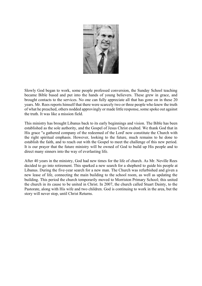

Slowly God began to work, some people professed conversion, the Sunday School teaching became Bible based and put into the hands of young believers. These grew in grace, and brought contacts to the services. No one can fully appreciate all that has gone on in these 20 years. Mr. Rees reports himself that there were scarcely two or three people who knew the truth of what he preached, others nodded approvingly or made little response, some spoke out against the truth. It was like a mission field.

This ministry has brought Libanus back to its early beginnings and vision. The Bible has been established as the sole authority, and the Gospel of Jesus Christ exalted. We thank God that in His grace "a gathered company of the redeemed of the Lord' now constitute the Church with the right spiritual emphasis. However, looking to the future, much remains to he done to establish the faith, and to reach out with the Gospel to meet the challenge of this new period. It is our prayer that the future ministry will be owned of God to build up His people and to direct many sinners into the way of everlasting life.

After 40 years in the ministry, God had new times for the life of church. As Mr. Neville Rees decided to go into retirement. This sparked a new search for a shepherd to guide his people at Libanus. During the five-year search for a new man. The Church was refurbished and given a new lease of life, connecting the main building to the school room, as well as updating the building. This period the church temporarily moved to Morriston Primary School; this united the church in its cause to be united in Christ. In 2007, the church called Stuart Dainty, to the Pastorate, along with His wife and two children. God is continuing to work in the area, but the story will never stop, until Christ Returns.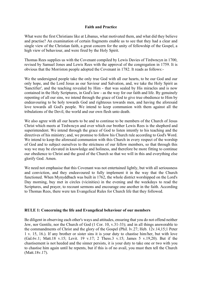#### **Faith and Practice**

What were the first Christians like at Libanus, what motivated them, and what did they believe and practise? An examination of certain fragments enable us to see that they had a clear and single view of the Christian faith, a great concern for the unity of fellowship of the Gospel, a high view of behaviour, and were fired by the Holy Spirit.

Thomas Rees supplies us with the Covenant compiled by Lewis Davies of Tirdwncyn in 1700, revised by Samuel Jones and Lewis Rees with the approval of the congregation in 1759. It is obvious that the Morriston people adopted the Covenant in 1782. It reads as follows:-

We the undersigned people take the only true God with all our hearts, to be our God and our only hope, and the Lord Jesus as our Saviour and Salvation, and, we take the Holy Spirit as 'Sanctifier', and the teaching revealed by Him - that was sealed by His miracles and is now contained in the Holy Scriptures, in God's law - as the way for our faith and life. By genuinely repenting of all our sins, we intend through the grace of God to give true obedience to Him by endeavouring to be holy towards God and righteous towards men, and having the aforesaid love towards all God's people. We intend to keep communion with them against all the tribulations of the Devil, the world and our own flesh unto death.

We also agree with all our hearts to be and to continue to be members of the Church of Jesus Christ which meets at Tirdwncyn and over which our brother Lewis Rees is the shepherd and superintendent. We intend through the grace of God to listen intently to his teaching and the directives of his ministry; and, we promise to follow his Church rule according to God's Word. We intend to keep the aforesaid communion with this Church in every respect of the worship of God and to subject ourselves to the strictness of our fellow members, so that through this way we may be elevated in knowledge and holiness, and therefore be more fitting to continue our obedience to Christ and the good of the Church so that we will in this and everything else glorify God. Amen.

We need not emphasise that this Covenant was not entertained lightly, but with all seriousness and conviction, and they endeavoured to fully implement it in the way that the Church functioned. When Mynyddbach was built in 1762, the whole district worshipped on the Lord's Day morning, buy met in circles (vicinities) in the evening and the weekdays to read the Scriptures, and prayer, to recount sermons and encourage one another in the faith. According to Thomas Rees, there were ten Evangelical Rules for Church life that they followed.

#### **RULE 1: Concerning the life and Evangelical behaviour of our members**

Be diligent in observing each other's ways and attitudes, ensuring that you do not offend neither Jew, nor Gentile, nor the Church of God (1 Cor. 10, v.31-33); and in all things answerable to the commandments of Christ and the glory of the Gospel (Phil. lv.27; Heb. 12v.14,15;1 Peter 1 v. 15, 16.). If any brother or sister sins it is your duty to chastise him/her, but with love (Gal.6v.1; Matt.18 v.15; Levit. 19 v.17; 2 Thess.3 v.15; James 5 v.19,20). But if the chastisement is not heeded and the sinner persists, it is your duty to take one or two with you to chastise him again until he repents, but if this is of no avail, you must then tell the Church (Matt.18v.17).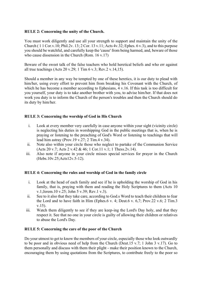# **RULE 2: Concerning the unity of the Church.**

You must work diligently and use all your strength to support and maintain the unity of the Church ( 1 1 Cor.v.10; Phil.2v. 13; 2 Cor. 13 v.11; Acts 4v.32; Ephes. 6 v.3), and to this purpose you should be watchful, and carefully keep the 'cause' from being harmed, and, beware of those who cause dissension in the Church (Rom. 16 v.17)

Beware of the sweet talk of the false teachers who hold heretical beliefs and who err against all true teachings (Acts 20 v.29; 1 Tim 6 v.3; Rev.2 v.14,15).

Should a member in any way be tempted by one of these heretics, it is our duty to plead with him/her, using every effort to prevent him from breaking his Covenant with the Church, of which he has become a member according to Ephesians, 4 v.16. If this task is too difficult for you yourself, your duty is to take another brother with you, to advise him/her. If that does not work you duty is to inform the Church of the person's troubles and then the Church should do its duty by him/her.

# **RULE 3: Concerning the worship of God in His Church**

- i. Look at every member very carefully in case anyone within your sight (vicinity circle) is neglecting his duties in worshipping God in the public meetings that is, when he is praying or listening to the preaching of God's Word or listening to teachings that will lead him astray (Prov.19 v.27; 2 Tim.4 v.34).
- ii. Note also within your circle those who neglect to partake of the Communion Service (Acts 20 v.7; Acts 2 v.42 & 46; 1 Cor.11 v.1; 1 Thess.2v.14).
- iii. Also note if anyone in your circle misses special services for prayer in the Church (Hebs.10v.25;Acts12v.5-12).

# **RULE 4: Concerning the rules and worship of God in the family circle**

- i. Look at the head of each family and see if he is upholding the worship of God in his family, that is, praying with them and reading the Holy Scriptures to them (Acts 10 v.1;Jerem.10 v.25; John 5 v.39; Rev.1 v.3).
- ii. See to it also that they take care, according to God.s Word to teach their children to fear the Lord and to have faith in Him (Ephes.6 v. 4; Deut.6 v. 6,7; Prov.22 v.6; 2 Tim.3 v.15).
- iii. Watch them diligently to see if they are keep-ing the Lord's Day holy, and that they respect it. See that no one in your circle is guilty of allowing their children or relatives to abuse the Lord's Day.

# **RULE 5: Concerning the care of the poor of the Church**

Do your utmost to get to know the members of your circle, especially those who look outwardly to be poor and in obvious need of help from the Church (Deut.15 v.7; 1 John 3 v.17). Go to them personally and discuss with them their plight - make their position known to the Church, encouraging them by using quotations from the Scriptures, to contribute freely to the poor so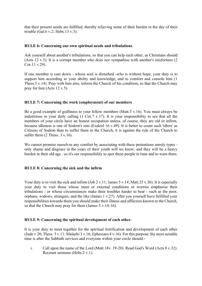that their present needs are fulfilled, thereby relieving some of their burden in the day of their trouble (Gal.6 v.2; Hebs.13 v.3).

#### **RULE 6: Concerning our own spiritual needs and tribulations**

Ask yourself about another's tribulations, so that you can help each other, as Christians should (Acts 12 v.5). It is a corrupt member who does nor sympathise with another's misfortune (2 Cor.11 v.29).

If one member is cast down - whose soul is disturbed -who is without hope, your duty is to support him according to your ability and knowledge, and to comfort and console him (1 Thess.5 v.14). Pray with him also, inform the Church of his condition, so that the Church may pray for him (Acts 12 v.5).

#### **RULE 7: Concerning the work (employment) of our members**

Be a good example of godliness to your fellow members (Matt.5 v.16). You must always be industrious in your daily calling (1 Cor.7 v.17). It is your responsibility to see that all the members of your circle have an honest occupation unless, of course, they are old or infirm, because idleness is one of Sodom's sins (Ezekiel 16 v.49). It is better to count such 'idlers' as Citizens of Sodom than to suffer them in the Church, it is against the rule of the Church to suffer them  $(2$  Thess. 3 v.16).

We cannot promise ourselves any comfort by associating with these pretentious unruly types only shame and disgrace in the years of their youth will we know, and they will be a heavy burden in their old age - so it's our responsibility to spot these people in time and to warn them.

# **RULE 8: Concerning the sick and the infirm**

Your duty is to visit the sick and infirm (Job 2 v.11; James 5 v.14; Matt.25 v.36). It is especially your duty to visit those whose inner or external conditions or worries emphasise their tribulations - or whose circumstances make their troubles harder to bear - such as the poor, orphans, widows, strangers, and the like (James 1 v.27). After you yourself have fulfilled your responsibilities towards them you should make their illness and affliction known to the Church, so that the Church may pray for them (James 5 v.14-16).

# **RULE 9: Concerning the spiritual development of each other.**

It is your duty to meet together for the spiritual fortification and development of each other (Jude v.20; Thess. 5 v.11; Malachi 3 v.16; Ephesians 4 v.16). For this purpose, the most suitable time is after the Sabbath services and everyone within your circle should:-

i. Call upon the name of the Lord (Matt.18v. 19-20). Read God's Word (Acts 8 v.32). Recount sermons (Hebs.2 v.1).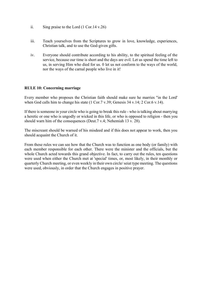- ii. Sing praise to the Lord (1 Cor.14 v.26)
- iii. Teach yourselves from the Scriptures to grow in love, knowledge, experiences, Christian talk, and to use the God-given gifts.
- iv. Everyone should contribute according to his ability, to the spiritual feeling of the service, because our time is short and the days are evil. Let us spend the time left to us, in serving Him who died for us. 0 let us not conform to the ways of the world, nor the ways of the carnal people who live in it!

#### **RULE 10: Concerning marriage**

Every member who proposes the Christian faith should make sure he marries "in the Lord' when God calls him to change his state (1 Cor.7 v.39; Genesis 34 v.14; 2 Cor.6 v.14).

If there is someone in your circle who is going to break this rule - who is talking about marrying a heretic or one who is ungodly or wicked in this life, or who is opposed to religion - then you should warn him of the consequences (Deut.7 v.4; Nehemiah 13 v. 28).

The miscreant should be warned of his misdeed and if this does not appear to work, then you should acquaint the Church of it.

From these rules we can see how that the Church was to function as one body (or family) with each member responsible for each other. There were the minister and the officials, but the whole Church acted towards this grand objective. In fact, to carry out the rules, ten questions were used when either the Church met at 'special' times, or, most likely, in their monthly or quarterly Church meeting, or even weekly in their own circle/ seiat type meeting. The questions were used, obviously, in order that the Church engages in positive prayer.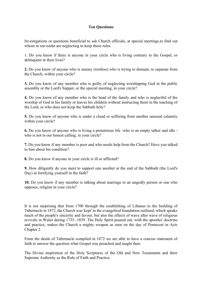# **Ten Questions**

Investigations or questions beneficial to ask Church officials, at special meetings,to find out whom in our midst are neglecting to keep these rules.

1. Do you know if there is anyone in your circle who is living contrary to the Gospel, or delinquent in their lives?

**2.** Do you know of anyone who is uneasy (restless) who is trying to dismate, to separate from the Church, within your circle?

**3.** Do you know of any member who is guilty of neglecting worshipping God in the public assembly or the Lord's Supper, or the special meeting, in your circle?

**4.** Do you know of any member who is the head of the family and who is neglectful of the worship of God in his family or leaves his children without instructing them in the teaching of the Lord, or who does not keep the Sabbath holy?

**5.** Do you know of anyone who is under a cloud or suffering from another unusual calamity within your circle?

**6.** Do you know of anyone who is living a pretentious life -who is an empty talker and idle who is not in our honest calling, in your circle?

**7.** Do you know if any member is poor and who needs help from the Church? Have you talked to him about his condition?

**8.** Do you know if anyone in your circle is ill or afflicted?

**9.** How diligently do you meet to support one another at the end of the Sabbath (the Lord's Day) in fortifying yourself in the faith?

**10.** Do you know if any member is talking about marriage to an ungodly person or one who opposes, religion in your circle?

It is not surprising that from 1700 through the establishing of Libanus to the building of Tabernacle in 1872, the Church was 'kept' in the evangelical foundation outlined, which speaks much of the people's sincerity and favour, but also the effects of wave after wave of religious revivals in Wales during 1735- 1859. The Holy Spirit poured out, with the apostles' doctrine and practice, makes the Church a mighty weapon as seen on the day of Pentecost in Acts Chapter 2.

From the deeds of Tabernacle compiled in 1872 we are able to have a concise statement of faith to answer the question what Gospel was preached and taught then.

The Divine inspiration of the Holy Scriptures of the Old and New Testaments and their Supreme Authority as the Rule of Faith and Practice.